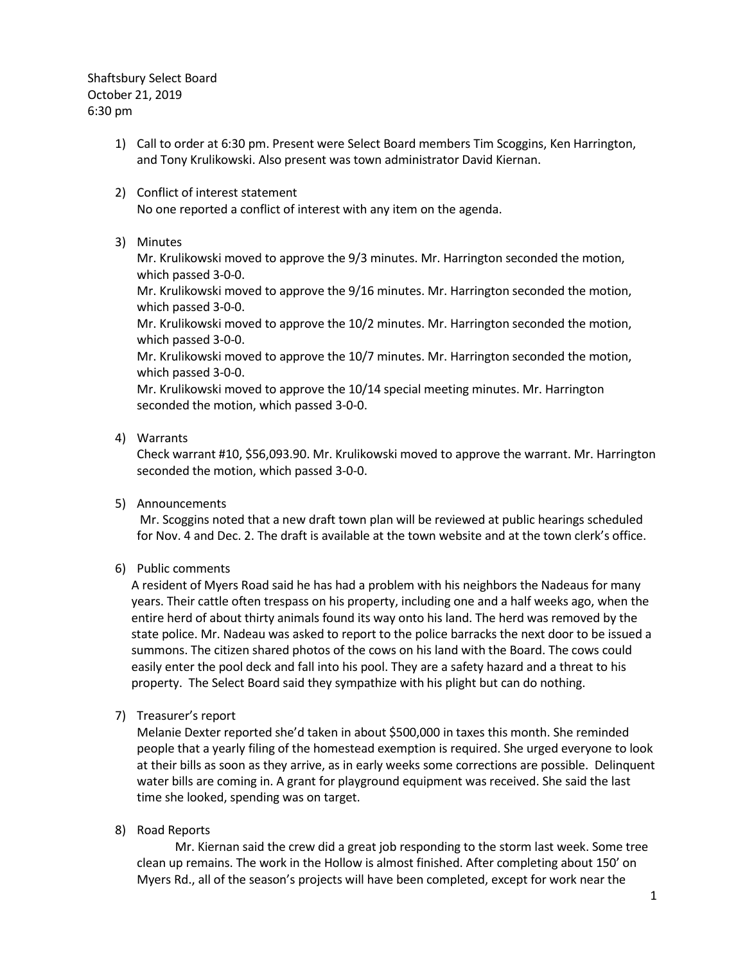Shaftsbury Select Board October 21, 2019 6:30 pm

- 1) Call to order at 6:30 pm. Present were Select Board members Tim Scoggins, Ken Harrington, and Tony Krulikowski. Also present was town administrator David Kiernan.
- 2) Conflict of interest statement No one reported a conflict of interest with any item on the agenda.
- 3) Minutes

Mr. Krulikowski moved to approve the 9/3 minutes. Mr. Harrington seconded the motion, which passed 3-0-0.

Mr. Krulikowski moved to approve the 9/16 minutes. Mr. Harrington seconded the motion, which passed 3-0-0.

Mr. Krulikowski moved to approve the 10/2 minutes. Mr. Harrington seconded the motion, which passed 3-0-0.

Mr. Krulikowski moved to approve the 10/7 minutes. Mr. Harrington seconded the motion, which passed 3-0-0.

Mr. Krulikowski moved to approve the 10/14 special meeting minutes. Mr. Harrington seconded the motion, which passed 3-0-0.

4) Warrants

Check warrant #10, \$56,093.90. Mr. Krulikowski moved to approve the warrant. Mr. Harrington seconded the motion, which passed 3-0-0.

5) Announcements

Mr. Scoggins noted that a new draft town plan will be reviewed at public hearings scheduled for Nov. 4 and Dec. 2. The draft is available at the town website and at the town clerk's office.

6) Public comments

A resident of Myers Road said he has had a problem with his neighbors the Nadeaus for many years. Their cattle often trespass on his property, including one and a half weeks ago, when the entire herd of about thirty animals found its way onto his land. The herd was removed by the state police. Mr. Nadeau was asked to report to the police barracks the next door to be issued a summons. The citizen shared photos of the cows on his land with the Board. The cows could easily enter the pool deck and fall into his pool. They are a safety hazard and a threat to his property. The Select Board said they sympathize with his plight but can do nothing.

7) Treasurer's report

Melanie Dexter reported she'd taken in about \$500,000 in taxes this month. She reminded people that a yearly filing of the homestead exemption is required. She urged everyone to look at their bills as soon as they arrive, as in early weeks some corrections are possible. Delinquent water bills are coming in. A grant for playground equipment was received. She said the last time she looked, spending was on target.

8) Road Reports

Mr. Kiernan said the crew did a great job responding to the storm last week. Some tree clean up remains. The work in the Hollow is almost finished. After completing about 150' on Myers Rd., all of the season's projects will have been completed, except for work near the